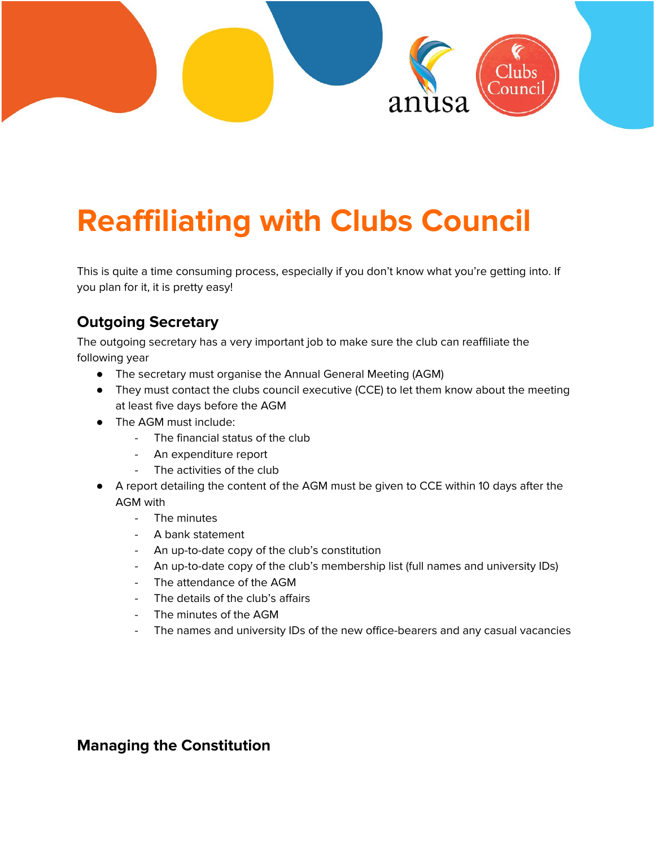

# **Reaffiliating with Clubs Council**

This is quite a time consuming process, especially if you don't know what you're getting into. If you plan for it, it is pretty easy!

# **Outgoing Secretary**

The outgoing secretary has a very important job to make sure the club can reaffiliate the following year

- The secretary must organise the Annual General Meeting (AGM)
- They must contact the clubs council executive (CCE) to let them know about the meeting at least five days before the AGM
- The AGM must include:
	- The financial status of the club
	- An expenditure report
	- The activities of the club
- A report detailing the content of the AGM must be given to CCE within 10 days after the AGM with
	- The minutes
	- A bank statement
	- An up-to-date copy of the club's constitution
	- An up-to-date copy of the club's membership list (full names and university IDs)
	- The attendance of the AGM
	- The details of the club's affairs
	- The minutes of the AGM
	- The names and university IDs of the new office-bearers and any casual vacancies

#### **Managing the Constitution**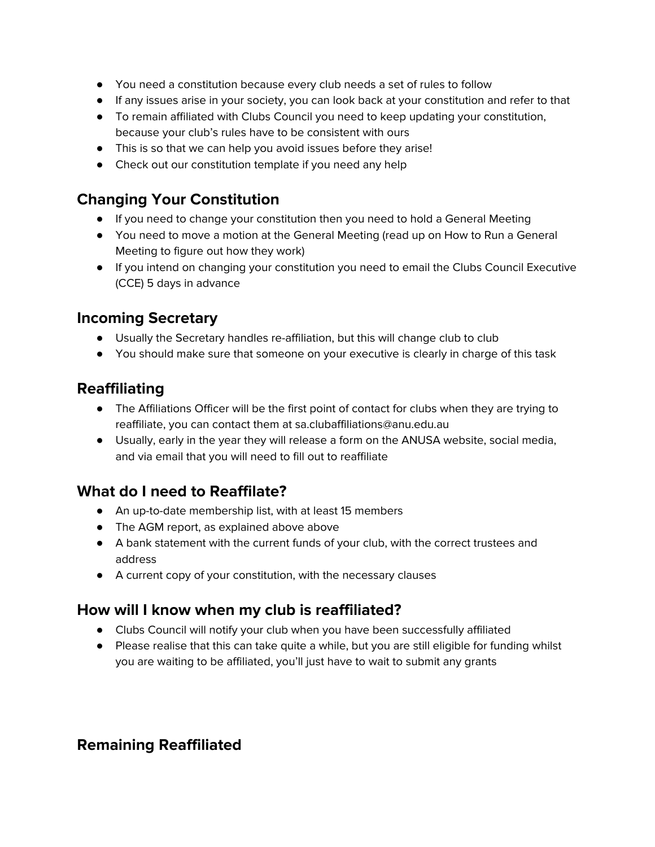- You need a constitution because every club needs a set of rules to follow
- If any issues arise in your society, you can look back at your constitution and refer to that
- To remain affiliated with Clubs Council you need to keep updating your constitution, because your club's rules have to be consistent with ours
- This is so that we can help you avoid issues before they arise!
- Check out our constitution template if you need any help

## **Changing Your Constitution**

- If you need to change your constitution then you need to hold a General Meeting
- You need to move a motion at the General Meeting (read up on How to Run a General Meeting to figure out how they work)
- If you intend on changing your constitution you need to email the Clubs Council Executive (CCE) 5 days in advance

#### **Incoming Secretary**

- Usually the Secretary handles re-affiliation, but this will change club to club
- You should make sure that someone on your executive is clearly in charge of this task

#### **Reaffiliating**

- The Affiliations Officer will be the first point of contact for clubs when they are trying to reaffiliate, you can contact them at sa.clubaffiliations@anu.edu.au
- Usually, early in the year they will release a form on the ANUSA website, social media, and via email that you will need to fill out to reaffiliate

## **What do I need to Reaffilate?**

- An up-to-date membership list, with at least 15 members
- The AGM report, as explained above above
- A bank statement with the current funds of your club, with the correct trustees and address
- A current copy of your constitution, with the necessary clauses

## **How will I know when my club is reaffiliated?**

- Clubs Council will notify your club when you have been successfully affiliated
- Please realise that this can take quite a while, but you are still eligible for funding whilst you are waiting to be affiliated, you'll just have to wait to submit any grants

## **Remaining Reaffiliated**